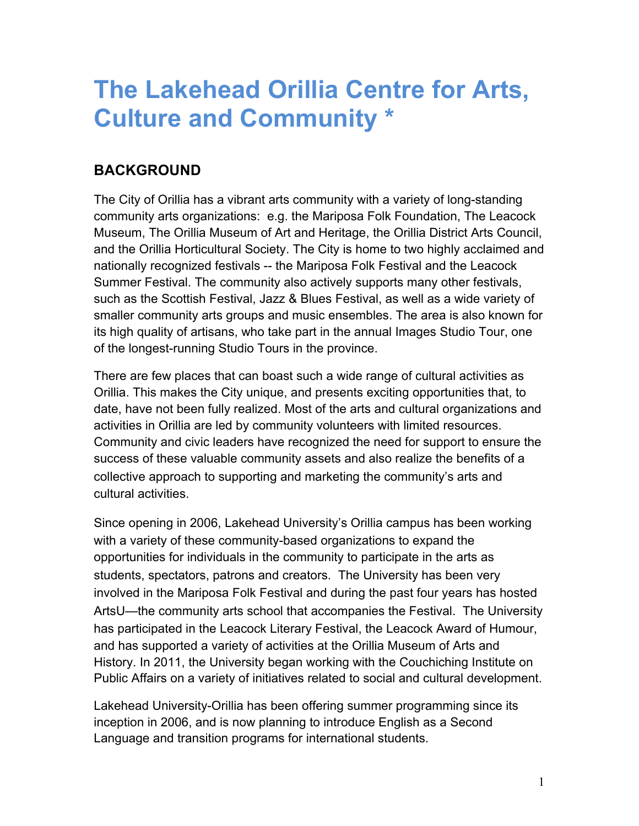## **The Lakehead Orillia Centre for Arts, Culture and Community \***

### **BACKGROUND**

The City of Orillia has a vibrant arts community with a variety of long-standing community arts organizations: e.g. the Mariposa Folk Foundation, The Leacock Museum, The Orillia Museum of Art and Heritage, the Orillia District Arts Council, and the Orillia Horticultural Society. The City is home to two highly acclaimed and nationally recognized festivals -- the Mariposa Folk Festival and the Leacock Summer Festival. The community also actively supports many other festivals, such as the Scottish Festival, Jazz & Blues Festival, as well as a wide variety of smaller community arts groups and music ensembles. The area is also known for its high quality of artisans, who take part in the annual Images Studio Tour, one of the longest-running Studio Tours in the province.

There are few places that can boast such a wide range of cultural activities as Orillia. This makes the City unique, and presents exciting opportunities that, to date, have not been fully realized. Most of the arts and cultural organizations and activities in Orillia are led by community volunteers with limited resources. Community and civic leaders have recognized the need for support to ensure the success of these valuable community assets and also realize the benefits of a collective approach to supporting and marketing the community's arts and cultural activities.

Since opening in 2006, Lakehead University's Orillia campus has been working with a variety of these community-based organizations to expand the opportunities for individuals in the community to participate in the arts as students, spectators, patrons and creators. The University has been very involved in the Mariposa Folk Festival and during the past four years has hosted ArtsU—the community arts school that accompanies the Festival. The University has participated in the Leacock Literary Festival, the Leacock Award of Humour, and has supported a variety of activities at the Orillia Museum of Arts and History. In 2011, the University began working with the Couchiching Institute on Public Affairs on a variety of initiatives related to social and cultural development.

Lakehead University-Orillia has been offering summer programming since its inception in 2006, and is now planning to introduce English as a Second Language and transition programs for international students.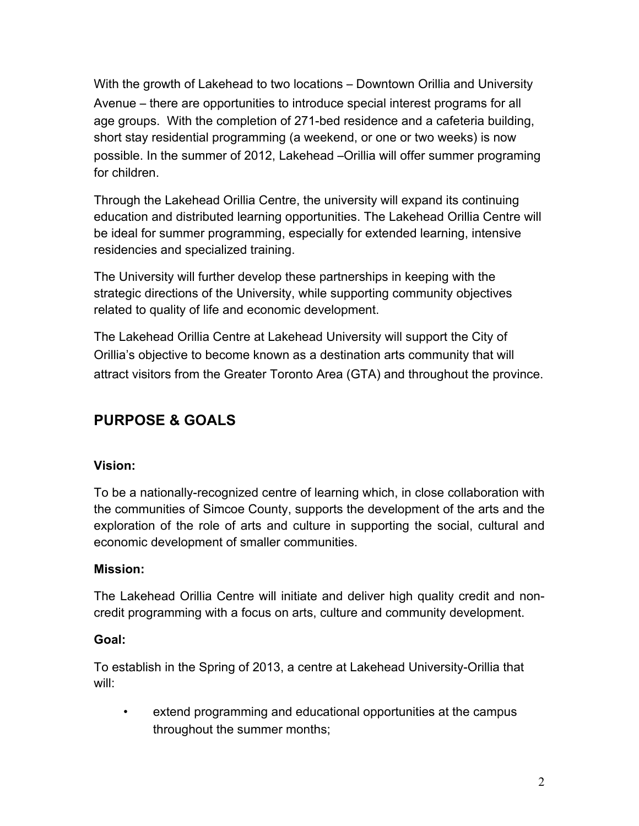With the growth of Lakehead to two locations – Downtown Orillia and University Avenue – there are opportunities to introduce special interest programs for all age groups. With the completion of 271-bed residence and a cafeteria building, short stay residential programming (a weekend, or one or two weeks) is now possible. In the summer of 2012, Lakehead –Orillia will offer summer programing for children.

Through the Lakehead Orillia Centre, the university will expand its continuing education and distributed learning opportunities. The Lakehead Orillia Centre will be ideal for summer programming, especially for extended learning, intensive residencies and specialized training.

The University will further develop these partnerships in keeping with the strategic directions of the University, while supporting community objectives related to quality of life and economic development.

The Lakehead Orillia Centre at Lakehead University will support the City of Orillia's objective to become known as a destination arts community that will attract visitors from the Greater Toronto Area (GTA) and throughout the province.

## **PURPOSE & GOALS**

#### **Vision:**

To be a nationally-recognized centre of learning which, in close collaboration with the communities of Simcoe County, supports the development of the arts and the exploration of the role of arts and culture in supporting the social, cultural and economic development of smaller communities.

#### **Mission:**

The Lakehead Orillia Centre will initiate and deliver high quality credit and noncredit programming with a focus on arts, culture and community development.

#### **Goal:**

To establish in the Spring of 2013, a centre at Lakehead University-Orillia that will:

• extend programming and educational opportunities at the campus throughout the summer months;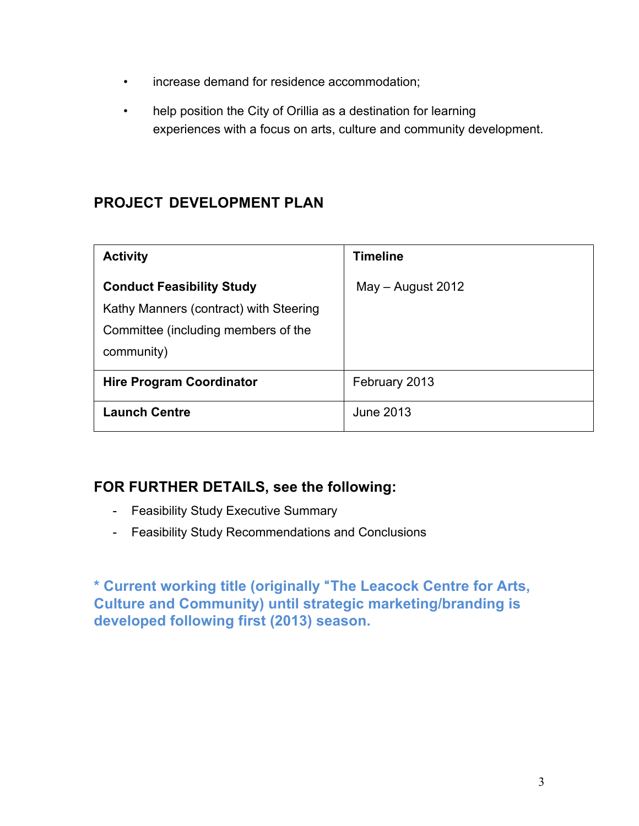- increase demand for residence accommodation;
- help position the City of Orillia as a destination for learning experiences with a focus on arts, culture and community development.

### **PROJECT DEVELOPMENT PLAN**

| <b>Activity</b>                                                                                                                 | <b>Timeline</b>     |
|---------------------------------------------------------------------------------------------------------------------------------|---------------------|
| <b>Conduct Feasibility Study</b><br>Kathy Manners (contract) with Steering<br>Committee (including members of the<br>community) | $May - August 2012$ |
| <b>Hire Program Coordinator</b>                                                                                                 | February 2013       |
| <b>Launch Centre</b>                                                                                                            | June 2013           |

### **FOR FURTHER DETAILS, see the following:**

- Feasibility Study Executive Summary
- Feasibility Study Recommendations and Conclusions

**\* Current working title (originally** "**The Leacock Centre for Arts, Culture and Community) until strategic marketing/branding is developed following first (2013) season.**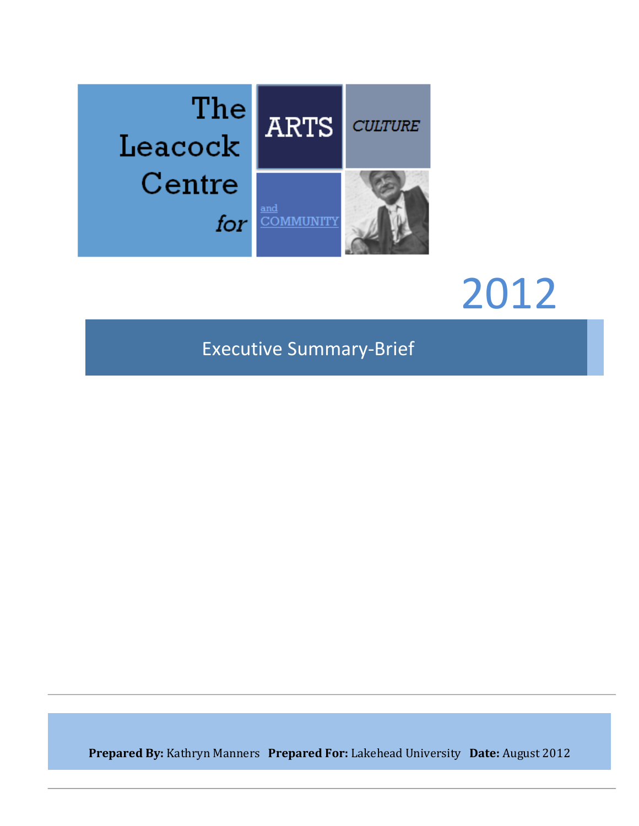

# 2012

## Executive Summary-Brief

**Prepared By:** Kathryn Manners Prepared For: Lakehead University Date: August 2012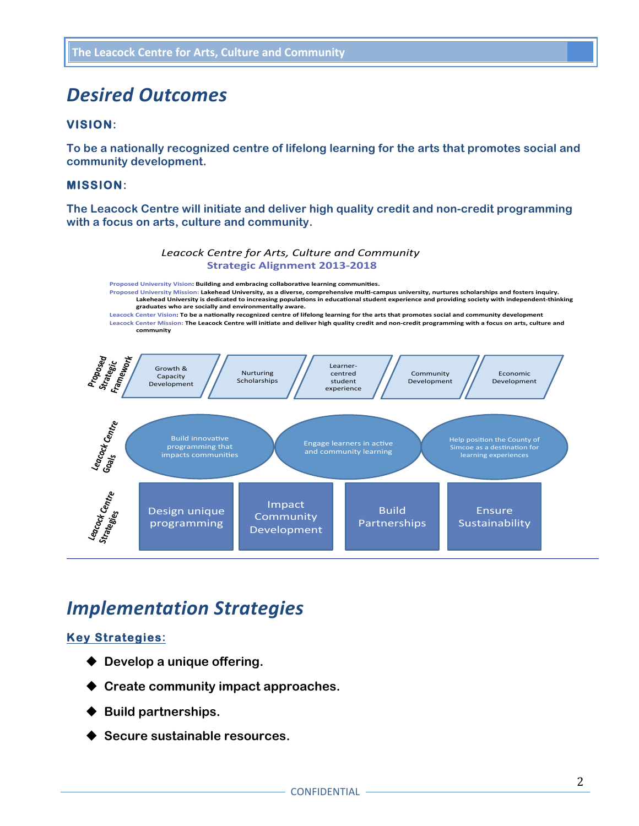## *Desired Outcomes*

#### **VISION:**

**To be a nationally recognized centre of lifelong learning for the arts that promotes social and community development.**

#### **MISSION:**

**The Leacock Centre will initiate and deliver high quality credit and non-credit programming with a focus on arts, culture and community.**



Proposed University Vision: Building and embracing collaborative learning communities. Proposed University Mission: Lakehead University, as a diverse, comprehensive multi-campus university, nurtures scholarships and fosters inquiry.<br>Lakehead University is dedicated to increasing populations in educational st graduates who are socially and environmentally aware. Leacock Center Vision: To be a nationally recognized centre of lifelong learning for the arts that promotes social and community development Leacock Center Mission: The Leacock Centre will initiate and deliver high quality credit and non-credit programming with a focus on arts, culture and **community**



## *Implementation Strategies*

#### **Key Strategies:**

- ◆ Develop a unique offering.
- ◆ Create community impact approaches.
- **Build partnerships.**
- Secure sustainable resources.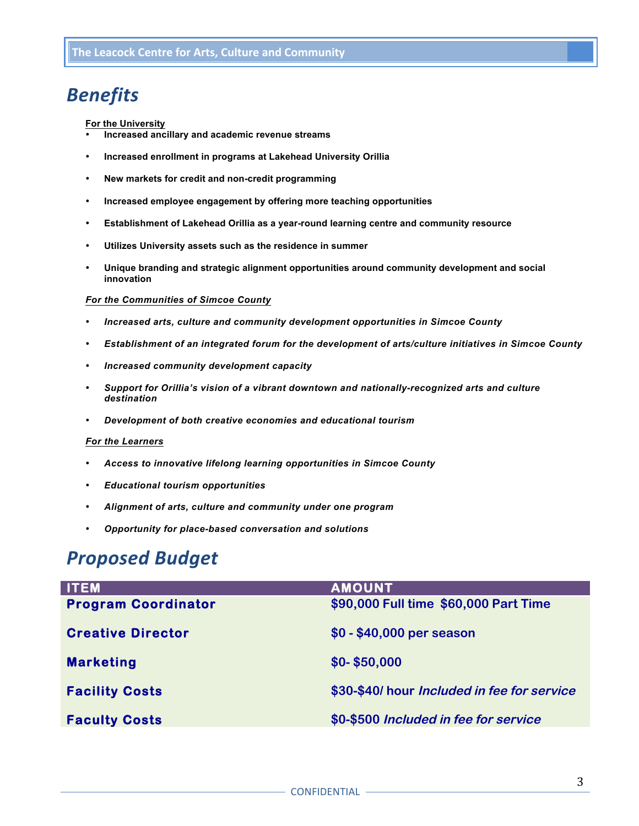## *Benefits*

#### **For the University**

- **Increased ancillary and academic revenue streams**
- **Increased enrollment in programs at Lakehead University Orillia**
- **New markets for credit and non-credit programming**
- **Increased employee engagement by offering more teaching opportunities**
- **Establishment of Lakehead Orillia as a year-round learning centre and community resource**
- **Utilizes University assets such as the residence in summer**
- **Unique branding and strategic alignment opportunities around community development and social innovation**

#### *For the Communities of Simcoe County*

- *Increased arts, culture and community development opportunities in Simcoe County*
- *Establishment of an integrated forum for the development of arts/culture initiatives in Simcoe County*
- *Increased community development capacity*
- *Support for Orillia's vision of a vibrant downtown and nationally-recognized arts and culture destination*
- *Development of both creative economies and educational tourism*

#### *For the Learners*

- *Access to innovative lifelong learning opportunities in Simcoe County*
- *Educational tourism opportunities*
- *Alignment of arts, culture and community under one program*
- *Opportunity for place-based conversation and solutions*

## *Proposed Budget*

| <b>ITEM</b>                | <b>AMOUNT</b>                               |
|----------------------------|---------------------------------------------|
| <b>Program Coordinator</b> | \$90,000 Full time \$60,000 Part Time       |
| <b>Creative Director</b>   | \$0 - \$40,000 per season                   |
| <b>Marketing</b>           | $$0-$50,000$                                |
| <b>Facility Costs</b>      | \$30-\$40/ hour Included in fee for service |
| <b>Faculty Costs</b>       | \$0-\$500 Included in fee for service       |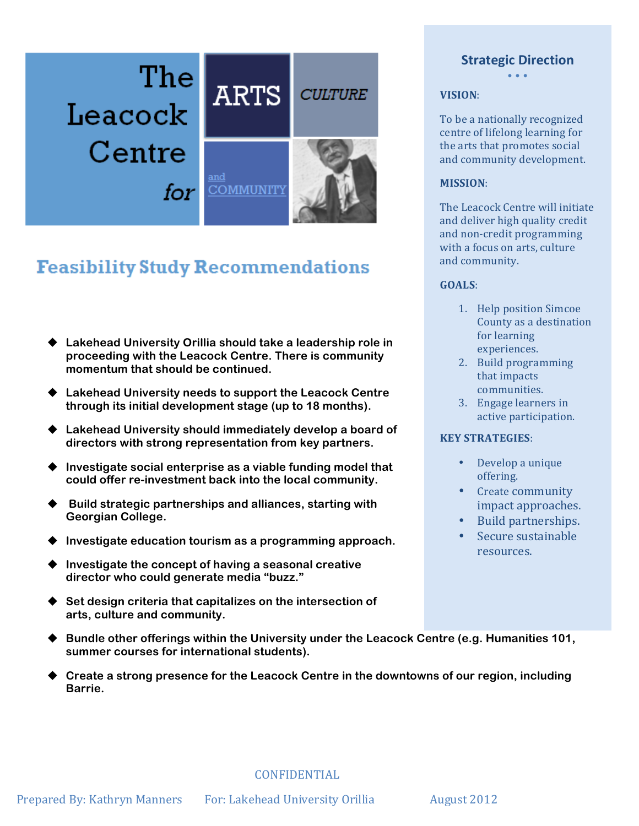

## **Feasibility Study Recommendations**

- ◆ Lakehead University Orillia should take a leadership role in **proceeding with the Leacock Centre. There is community momentum that should be continued.**
- **Example 2 Example 2 Lakehead University needs to support the Leacock Centre through its initial development stage (up to 18 months).**
- ♦ Lakehead University should immediately develop a board of **directors with strong representation from key partners.**
- ♦ Investigate social enterprise as a viable funding model that **could offer re-investment back into the local community.**
- u **Build strategic partnerships and alliances, starting with Georgian College.**
- Investigate education tourism as a programming approach.
- Investigate the concept of having a seasonal creative **director who could generate media "buzz."**
- u **Set design criteria that capitalizes on the intersection of arts, culture and community.**
- ◆ Bundle other offerings within the University under the Leacock Centre (e.g. Humanities 101, **summer courses for international students).**
- u **Create a strong presence for the Leacock Centre in the downtowns of our region, including Barrie.**

**Strategic Direction** • • •

**VISION**:

To be a nationally recognized centre of lifelong learning for the arts that promotes social and community development.

#### **MISSION**:

The Leacock Centre will initiate and deliver high quality credit and non-credit programming with a focus on arts, culture and community.

#### **GOALS**:

- 1. Help position Simcoe County as a destination for learning experiences.
- 2. Build programming that impacts communities.
- 3. Engage learners in active participation.

#### **KEY STRATEGIES**:

- Develop a unique offering.
- Create community impact approaches.
- Build partnerships.
- Secure sustainable resources.

 CONFIDENTIAL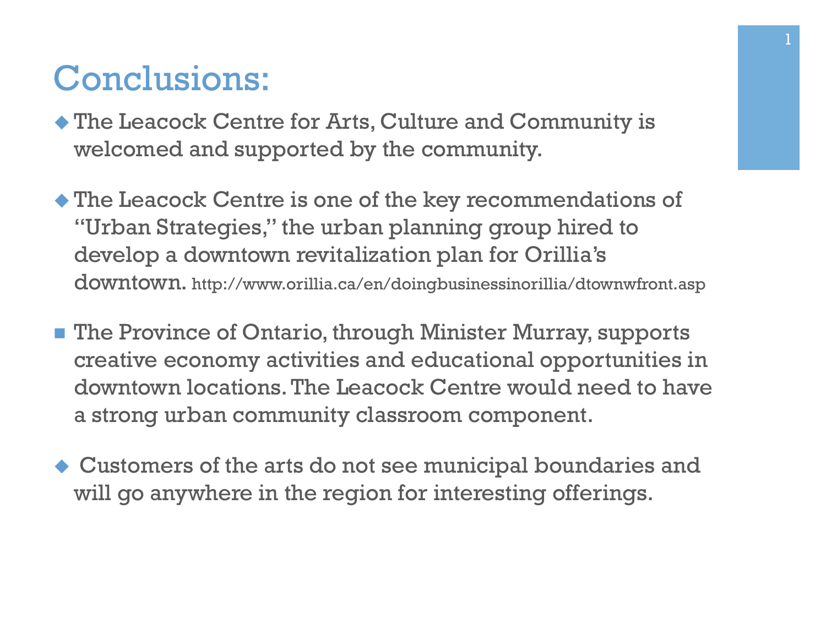## Conclusions:

- $\blacklozenge$  The Leacock Centre for Arts, Culture and Community is welcomed and supported by the community.
- $\blacklozenge$  The Leacock Centre is one of the key recommendations of "Urban Strategies," the urban planning group hired to develop a downtown revitalization plan for Orillia's downtown. http://www.orillia.ca/en/doingbusinessinorillia/dtownwfront.asp
- **n** The Province of Ontario, through Minister Murray, supports creative economy activities and educational opportunities in downtown locations. The Leacock Centre would need to have a strong urban community classroom component.
- $\blacklozenge$  Customers of the arts do not see municipal boundaries and will go anywhere in the region for interesting offerings.